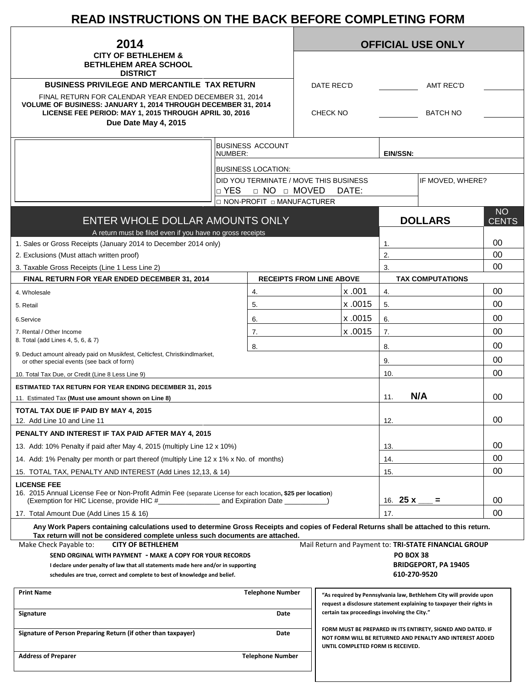# **READ INSTRUCTIONS ON THE BACK BEFORE COMPLETING FORM**

| 2014                                                                                                                                                                                                      |                                        |                                 | <b>OFFICIAL USE ONLY</b> |                                              |           |                                                                                                                                             |              |  |
|-----------------------------------------------------------------------------------------------------------------------------------------------------------------------------------------------------------|----------------------------------------|---------------------------------|--------------------------|----------------------------------------------|-----------|---------------------------------------------------------------------------------------------------------------------------------------------|--------------|--|
| <b>CITY OF BETHLEHEM &amp;</b><br><b>BETHLEHEM AREA SCHOOL</b>                                                                                                                                            |                                        |                                 |                          |                                              |           |                                                                                                                                             |              |  |
| <b>DISTRICT</b>                                                                                                                                                                                           |                                        |                                 |                          |                                              |           |                                                                                                                                             |              |  |
| <b>BUSINESS PRIVILEGE AND MERCANTILE TAX RETURN</b>                                                                                                                                                       |                                        |                                 |                          | DATE REC'D<br><b>AMT REC'D</b>               |           |                                                                                                                                             |              |  |
| FINAL RETURN FOR CALENDAR YEAR ENDED DECEMBER 31, 2014<br>VOLUME OF BUSINESS: JANUARY 1, 2014 THROUGH DECEMBER 31, 2014<br>LICENSE FEE PERIOD: MAY 1, 2015 THROUGH APRIL 30, 2016<br>Due Date May 4, 2015 |                                        |                                 |                          | <b>BATCH NO</b><br><b>CHECK NO</b>           |           |                                                                                                                                             |              |  |
|                                                                                                                                                                                                           |                                        |                                 |                          |                                              |           |                                                                                                                                             |              |  |
|                                                                                                                                                                                                           | <b>BUSINESS ACCOUNT</b><br>NUMBER:     |                                 |                          |                                              | EIN/SSN:  |                                                                                                                                             |              |  |
|                                                                                                                                                                                                           | <b>BUSINESS LOCATION:</b>              |                                 |                          |                                              |           |                                                                                                                                             |              |  |
|                                                                                                                                                                                                           | DID YOU TERMINATE / MOVE THIS BUSINESS |                                 |                          |                                              |           | IF MOVED, WHERE?                                                                                                                            |              |  |
|                                                                                                                                                                                                           | D YES                                  | D NO D MOVED                    |                          | DATE:                                        |           |                                                                                                                                             |              |  |
|                                                                                                                                                                                                           | □ NON-PROFIT □ MANUFACTURER            |                                 |                          |                                              |           |                                                                                                                                             | <b>NO</b>    |  |
| ENTER WHOLE DOLLAR AMOUNTS ONLY<br>A return must be filed even if you have no gross receipts                                                                                                              |                                        |                                 |                          |                                              |           | <b>DOLLARS</b>                                                                                                                              | <b>CENTS</b> |  |
| 1. Sales or Gross Receipts (January 2014 to December 2014 only)                                                                                                                                           |                                        |                                 |                          |                                              | 1.        |                                                                                                                                             | 00           |  |
| 2. Exclusions (Must attach written proof)                                                                                                                                                                 |                                        |                                 |                          |                                              | 2.        |                                                                                                                                             | 00           |  |
| 3. Taxable Gross Receipts (Line 1 Less Line 2)                                                                                                                                                            |                                        |                                 |                          | 3.                                           |           |                                                                                                                                             | 00           |  |
| FINAL RETURN FOR YEAR ENDED DECEMBER 31, 2014                                                                                                                                                             |                                        | <b>RECEIPTS FROM LINE ABOVE</b> |                          |                                              |           | <b>TAX COMPUTATIONS</b>                                                                                                                     |              |  |
| 4. Wholesale                                                                                                                                                                                              | 4.                                     |                                 |                          | x .001                                       | 4.        |                                                                                                                                             | 00           |  |
| 5. Retail                                                                                                                                                                                                 | 5.                                     |                                 |                          | x.0015                                       | 5.        |                                                                                                                                             | 00           |  |
| 6.Service                                                                                                                                                                                                 | 6.                                     |                                 |                          | x .0015                                      | 6.        |                                                                                                                                             | 00           |  |
| 7. Rental / Other Income                                                                                                                                                                                  | 7.                                     |                                 |                          | x .0015                                      | 7.        |                                                                                                                                             | 00           |  |
| 8. Total (add Lines 4, 5, 6, & 7)                                                                                                                                                                         | 8.                                     |                                 |                          |                                              | 8.        |                                                                                                                                             | 00           |  |
| 9. Deduct amount already paid on Musikfest, Celticfest, Christkindlmarket,<br>or other special events (see back of form)                                                                                  |                                        |                                 |                          |                                              | 9.        |                                                                                                                                             | 00           |  |
| 10. Total Tax Due, or Credit (Line 8 Less Line 9)                                                                                                                                                         |                                        |                                 |                          |                                              | 10.       |                                                                                                                                             | 00           |  |
| <b>ESTIMATED TAX RETURN FOR YEAR ENDING DECEMBER 31, 2015</b>                                                                                                                                             |                                        |                                 |                          |                                              |           |                                                                                                                                             |              |  |
| 11. Estimated Tax (Must use amount shown on Line 8)                                                                                                                                                       |                                        |                                 |                          |                                              | 11.       | N/A                                                                                                                                         | 00           |  |
| TOTAL TAX DUE IF PAID BY MAY 4, 2015<br>12. Add Line 10 and Line 11                                                                                                                                       |                                        |                                 |                          |                                              | 12.       |                                                                                                                                             | 00           |  |
| PENALTY AND INTEREST IF TAX PAID AFTER MAY 4, 2015                                                                                                                                                        |                                        |                                 |                          |                                              |           |                                                                                                                                             |              |  |
| 13. Add: 10% Penalty if paid after May 4, 2015 (multiply Line 12 x 10%)                                                                                                                                   |                                        |                                 |                          |                                              | 13.       |                                                                                                                                             | 00           |  |
| 14. Add: 1% Penalty per month or part thereof (multiply Line 12 x 1% x No. of months)                                                                                                                     |                                        |                                 |                          |                                              | 14.       |                                                                                                                                             | 00           |  |
| 15. TOTAL TAX, PENALTY AND INTEREST (Add Lines 12,13, & 14)                                                                                                                                               |                                        |                                 |                          |                                              | 15.       |                                                                                                                                             | 00           |  |
| <b>LICENSE FEE</b><br>16. 2015 Annual License Fee or Non-Profit Admin Fee (separate License for each location, \$25 per location)                                                                         |                                        |                                 |                          |                                              |           |                                                                                                                                             | 00           |  |
|                                                                                                                                                                                                           |                                        |                                 |                          | 16. <b>25 x</b> ____                         | Ξ.        | 00                                                                                                                                          |              |  |
| 17. Total Amount Due (Add Lines 15 & 16)<br>Any Work Papers containing calculations used to determine Gross Receipts and copies of Federal Returns shall be attached to this return.                      |                                        |                                 |                          |                                              | 17.       |                                                                                                                                             |              |  |
| Tax return will not be considered complete unless such documents are attached.<br>Make Check Payable to:<br><b>CITY OF BETHLEHEM</b>                                                                      |                                        |                                 |                          |                                              |           | Mail Return and Payment to: TRI-STATE FINANCIAL GROUP                                                                                       |              |  |
| SEND ORGINAL WITH PAYMENT - MAKE A COPY FOR YOUR RECORDS                                                                                                                                                  |                                        |                                 |                          |                                              | PO BOX 38 |                                                                                                                                             |              |  |
| I declare under penalty of law that all statements made here and/or in supporting                                                                                                                         |                                        |                                 |                          |                                              |           | <b>BRIDGEPORT, PA 19405</b>                                                                                                                 |              |  |
| schedules are true, correct and complete to best of knowledge and belief.                                                                                                                                 |                                        |                                 |                          |                                              |           | 610-270-9520                                                                                                                                |              |  |
| <b>Print Name</b>                                                                                                                                                                                         |                                        | <b>Telephone Number</b>         |                          |                                              |           | "As required by Pennsylvania law, Bethlehem City will provide upon<br>request a disclosure statement explaining to taxpayer their rights in |              |  |
| Signature                                                                                                                                                                                                 | Date                                   |                                 |                          | certain tax proceedings involving the City." |           |                                                                                                                                             |              |  |
| Signature of Person Preparing Return (if other than taxpayer)                                                                                                                                             |                                        | Date                            |                          | UNTIL COMPLETED FORM IS RECEIVED.            |           | FORM MUST BE PREPARED IN ITS ENTIRETY, SIGNED AND DATED. IF<br>NOT FORM WILL BE RETURNED AND PENALTY AND INTEREST ADDED                     |              |  |
| <b>Address of Preparer</b>                                                                                                                                                                                |                                        | <b>Telephone Number</b>         |                          |                                              |           |                                                                                                                                             |              |  |